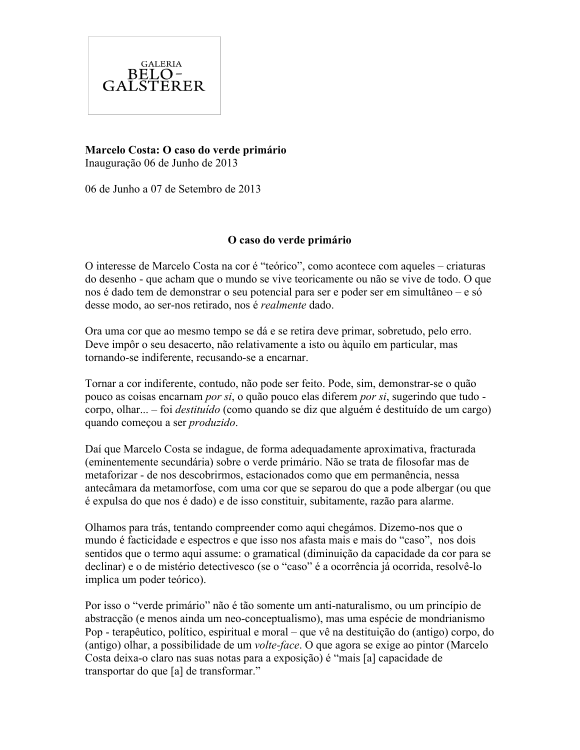

**Marcelo Costa: O caso do verde primário** Inauguração 06 de Junho de 2013

06 de Junho a 07 de Setembro de 2013

### **O caso do verde primário**

O interesse de Marcelo Costa na cor é "teórico", como acontece com aqueles – criaturas do desenho - que acham que o mundo se vive teoricamente ou não se vive de todo. O que nos é dado tem de demonstrar o seu potencial para ser e poder ser em simultâneo – e só desse modo, ao ser-nos retirado, nos é *realmente* dado.

Ora uma cor que ao mesmo tempo se dá e se retira deve primar, sobretudo, pelo erro. Deve impôr o seu desacerto, não relativamente a isto ou àquilo em particular, mas tornando-se indiferente, recusando-se a encarnar.

Tornar a cor indiferente, contudo, não pode ser feito. Pode, sim, demonstrar-se o quão pouco as coisas encarnam *por si*, o quão pouco elas diferem *por si*, sugerindo que tudo corpo, olhar... – foi *destituído* (como quando se diz que alguém é destituído de um cargo) quando começou a ser *produzido*.

Daí que Marcelo Costa se indague, de forma adequadamente aproximativa, fracturada (eminentemente secundária) sobre o verde primário. Não se trata de filosofar mas de metaforizar - de nos descobrirmos, estacionados como que em permanência, nessa antecâmara da metamorfose, com uma cor que se separou do que a pode albergar (ou que é expulsa do que nos é dado) e de isso constituir, subitamente, razão para alarme.

Olhamos para trás, tentando compreender como aqui chegámos. Dizemo-nos que o mundo é facticidade e espectros e que isso nos afasta mais e mais do "caso", nos dois sentidos que o termo aqui assume: o gramatical (diminuição da capacidade da cor para se declinar) e o de mistério detectivesco (se o "caso" é a ocorrência já ocorrida, resolvê-lo implica um poder teórico).

Por isso o "verde primário" não é tão somente um anti-naturalismo, ou um princípio de abstracção (e menos ainda um neo-conceptualismo), mas uma espécie de mondrianismo Pop - terapêutico, político, espiritual e moral – que vê na destituição do (antigo) corpo, do (antigo) olhar, a possibilidade de um *volte-face*. O que agora se exige ao pintor (Marcelo Costa deixa-o claro nas suas notas para a exposição) é "mais [a] capacidade de transportar do que [a] de transformar."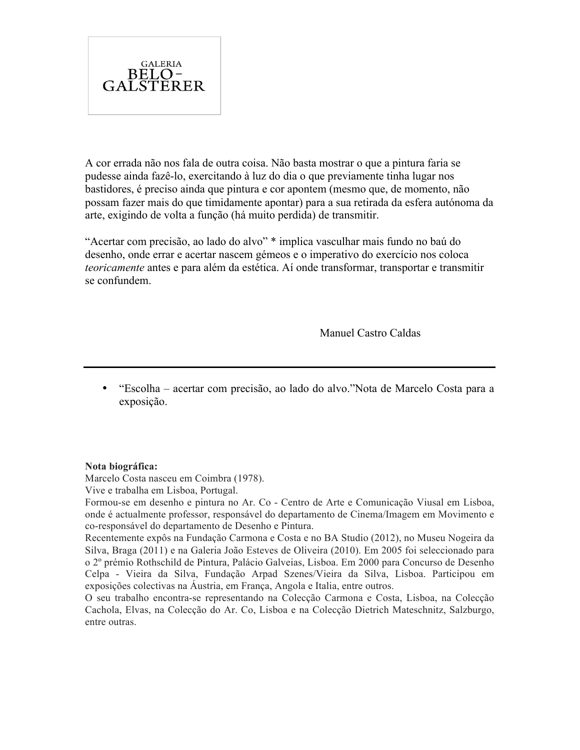

A cor errada não nos fala de outra coisa. Não basta mostrar o que a pintura faria se pudesse ainda fazê-lo, exercitando à luz do dia o que previamente tinha lugar nos bastidores, é preciso ainda que pintura e cor apontem (mesmo que, de momento, não possam fazer mais do que timidamente apontar) para a sua retirada da esfera autónoma da arte, exigindo de volta a função (há muito perdida) de transmitir.

"Acertar com precisão, ao lado do alvo" \* implica vasculhar mais fundo no baú do desenho, onde errar e acertar nascem gémeos e o imperativo do exercício nos coloca *teoricamente* antes e para além da estética. Aí onde transformar, transportar e transmitir se confundem.

Manuel Castro Caldas

• "Escolha – acertar com precisão, ao lado do alvo."Nota de Marcelo Costa para a exposição.

### **Nota biográfica:**

Marcelo Costa nasceu em Coimbra (1978).

Vive e trabalha em Lisboa, Portugal.

Formou-se em desenho e pintura no Ar. Co - Centro de Arte e Comunicação Viusal em Lisboa, onde é actualmente professor, responsável do departamento de Cinema/Imagem em Movimento e co-responsável do departamento de Desenho e Pintura.

Recentemente expôs na Fundação Carmona e Costa e no BA Studio (2012), no Museu Nogeira da Silva, Braga (2011) e na Galeria João Esteves de Oliveira (2010). Em 2005 foi seleccionado para o 2º prémio Rothschild de Pintura, Palácio Galveias, Lisboa. Em 2000 para Concurso de Desenho Celpa - Vieira da Silva, Fundação Arpad Szenes/Vieira da Silva, Lisboa. Participou em exposições colectivas na Áustria, em França, Angola e Italia, entre outros.

O seu trabalho encontra-se representando na Colecção Carmona e Costa, Lisboa, na Colecção Cachola, Elvas, na Colecção do Ar. Co, Lisboa e na Colecção Dietrich Mateschnitz, Salzburgo, entre outras.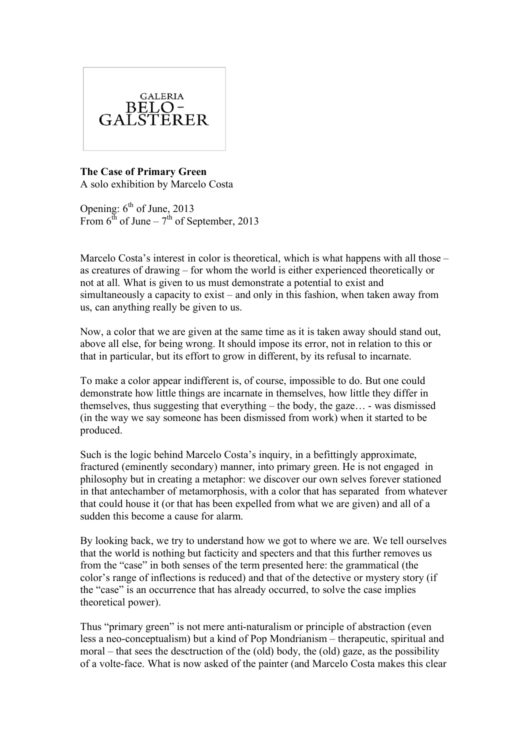

**The Case of Primary Green** A solo exhibition by Marcelo Costa

Opening:  $6<sup>th</sup>$  of June, 2013 From  $6^{th}$  of June –  $7^{th}$  of September, 2013

Marcelo Costa's interest in color is theoretical, which is what happens with all those – as creatures of drawing – for whom the world is either experienced theoretically or not at all. What is given to us must demonstrate a potential to exist and simultaneously a capacity to exist – and only in this fashion, when taken away from us, can anything really be given to us.

Now, a color that we are given at the same time as it is taken away should stand out, above all else, for being wrong. It should impose its error, not in relation to this or that in particular, but its effort to grow in different, by its refusal to incarnate.

To make a color appear indifferent is, of course, impossible to do. But one could demonstrate how little things are incarnate in themselves, how little they differ in themselves, thus suggesting that everything – the body, the gaze… - was dismissed (in the way we say someone has been dismissed from work) when it started to be produced.

Such is the logic behind Marcelo Costa's inquiry, in a befittingly approximate, fractured (eminently secondary) manner, into primary green. He is not engaged in philosophy but in creating a metaphor: we discover our own selves forever stationed in that antechamber of metamorphosis, with a color that has separated from whatever that could house it (or that has been expelled from what we are given) and all of a sudden this become a cause for alarm.

By looking back, we try to understand how we got to where we are. We tell ourselves that the world is nothing but facticity and specters and that this further removes us from the "case" in both senses of the term presented here: the grammatical (the color's range of inflections is reduced) and that of the detective or mystery story (if the "case" is an occurrence that has already occurred, to solve the case implies theoretical power).

Thus "primary green" is not mere anti-naturalism or principle of abstraction (even less a neo-conceptualism) but a kind of Pop Mondrianism – therapeutic, spiritual and moral – that sees the desctruction of the (old) body, the (old) gaze, as the possibility of a volte-face. What is now asked of the painter (and Marcelo Costa makes this clear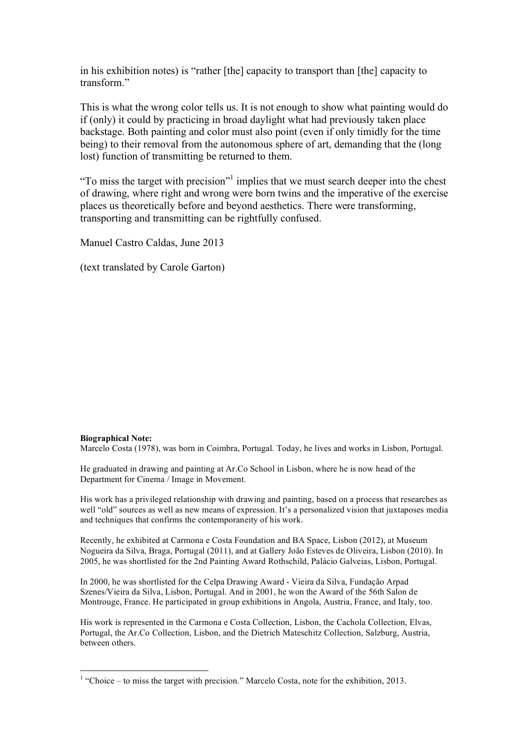in his exhibition notes) is "rather [the] capacity to transport than [the] capacity to transform."

This is what the wrong color tells us. It is not enough to show what painting would do if (only) it could by practicing in broad daylight what had previously taken place backstage. Both painting and color must also point (even if only timidly for the time being) to their removal from the autonomous sphere of art, demanding that the (long lost) function of transmitting be returned to them.

"To miss the target with precision"<sup>1</sup> implies that we must search deeper into the chest of drawing, where right and wrong were born twins and the imperative of the exercise places us theoretically before and beyond aesthetics. There were transforming, transporting and transmitting can be rightfully confused.

Manuel Castro Caldas, June 2013

(text translated by Carole Garton)

#### **Biographical Note:**

Marcelo Costa (1978), was born in Coimbra, Portugal. Today, he lives and works in Lisbon, Portugal.

He graduated in drawing and painting at Ar.Co School in Lisbon, where he is now head of the Department for Cinema / Image in Movement.

His work has a privileged relationship with drawing and painting, based on a process that researches as well "old" sources as well as new means of expression. It's a personalized vision that juxtaposes media and techniques that confirms the contemporaneity of his work.

Recently, he exhibited at Carmona e Costa Foundation and BA Space, Lisbon (2012), at Museum Nogueira da Silva, Braga, Portugal (2011), and at Gallery João Esteves de Oliveira, Lisbon (2010). In 2005, he was shortlisted for the 2nd Painting Award Rothschild, Palácio Galveias, Lisbon, Portugal.

In 2000, he was shortlisted for the Celpa Drawing Award - Vieira da Silva, Fundação Arpad Szenes/Vieira da Silva, Lisbon, Portugal. And in 2001, he won the Award of the 56th Salon de Montrouge, France. He participated in group exhibitions in Angola, Austria, France, and Italy, too.

His work is represented in the Carmona e Costa Collection, Lisbon, the Cachola Collection, Elvas, Portugal, the Ar.Co Collection, Lisbon, and the Dietrich Mateschitz Collection, Salzburg, Austria, between others.

 $\frac{1}{1}$  $\frac{1}{1}$  "Choice – to miss the target with precision." Marcelo Costa, note for the exhibition, 2013.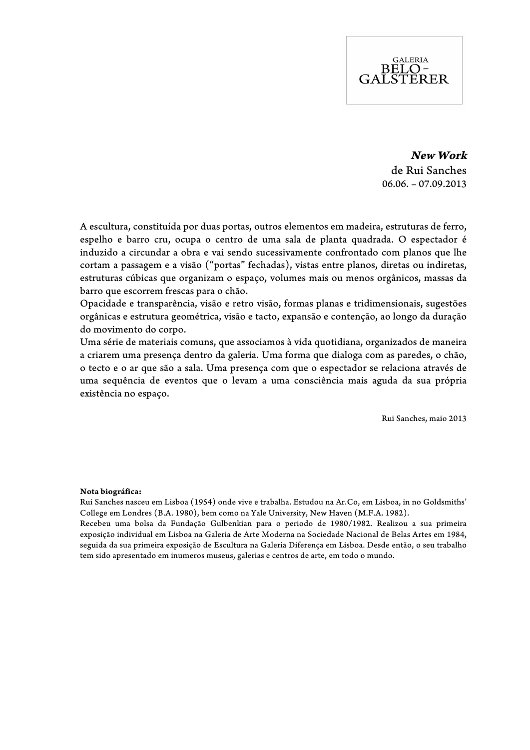# **GALERIA** BELO-<br>GALSTERER

**New Work** de Rui Sanches  $06.06. -07.09.2013$ 

A escultura, constituída por duas portas, outros elementos em madeira, estruturas de ferro, espelho e barro cru, ocupa o centro de uma sala de planta quadrada. O espectador é induzido a circundar a obra e vai sendo sucessivamente confrontado com planos que lhe cortam a passagem e a visão ("portas" fechadas), vistas entre planos, diretas ou indiretas, estruturas cúbicas que organizam o espaço, volumes mais ou menos orgânicos, massas da barro que escorrem frescas para o chão.

Opacidade e transparência, visão e retro visão, formas planas e tridimensionais, sugestões orgânicas e estrutura geométrica, visão e tacto, expansão e contenção, ao longo da duração do movimento do corpo.

Uma série de materiais comuns, que associamos à vida quotidiana, organizados de maneira a criarem uma presença dentro da galeria. Uma forma que dialoga com as paredes, o chão, o tecto e o ar que são a sala. Uma presença com que o espectador se relaciona através de uma sequência de eventos que o levam a uma consciência mais aguda da sua própria existência no espaço.

Rui Sanches, maio 2013

### **Nota biográfica:**

Rui Sanches nasceu em Lisboa (1954) onde vive e trabalha. Estudou na Ar.Co, em Lisboa, in no Goldsmiths' College em Londres (B.A. 1980), bem como na Yale University, New Haven (M.F.A. 1982).

Recebeu uma bolsa da Fundação Gulbenkian para o periodo de 1980/1982. Realizou a sua primeira exposição individual em Lisboa na Galeria de Arte Moderna na Sociedade Nacional de Belas Artes em 1984, seguida da sua primeira exposição de Escultura na Galeria Diferença em Lisboa. Desde então, o seu trabalho tem sido apresentado em inumeros museus, galerias e centros de arte, em todo o mundo.